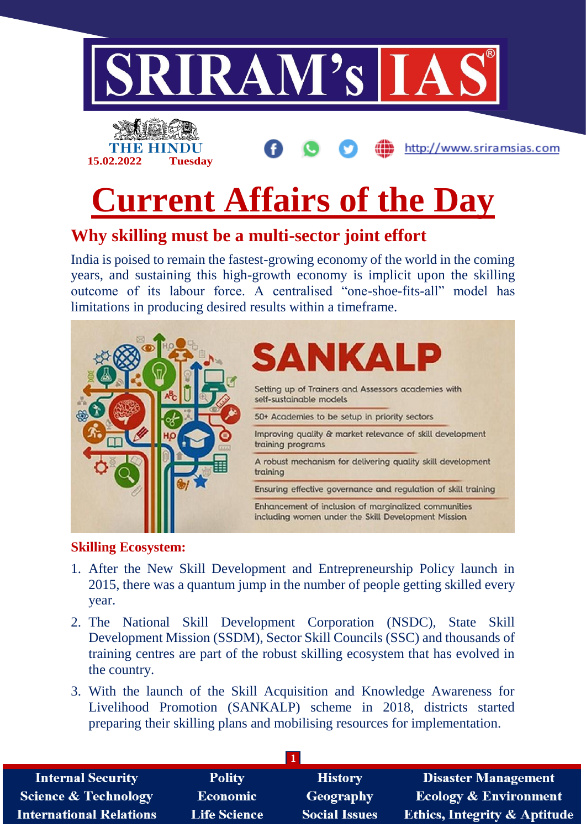

# **Current Affairs of the Day**

## **Why skilling must be a multi-sector joint effort**

India is poised to remain the fastest-growing economy of the world in the coming years, and sustaining this high-growth economy is implicit upon the skilling outcome of its labour force. A centralised "one-shoe-fits-all" model has limitations in producing desired results within a timeframe.



#### **Skilling Ecosystem:**

**15.02.2022 Tuesday**

- 1. After the New Skill Development and Entrepreneurship Policy launch in 2015, there was a quantum jump in the number of people getting skilled every year.
- 2. The National Skill Development Corporation (NSDC), State Skill Development Mission (SSDM), Sector Skill Councils (SSC) and thousands of training centres are part of the robust skilling ecosystem that has evolved in the country.
- 3. With the launch of the Skill Acquisition and Knowledge Awareness for Livelihood Promotion (SANKALP) scheme in 2018, districts started preparing their skilling plans and mobilising resources for implementation.

| <b>Internal Security</b>        | <b>Polity</b>       | <b>History</b>       | <b>Disaster Management</b>              |
|---------------------------------|---------------------|----------------------|-----------------------------------------|
| <b>Science &amp; Technology</b> | <b>Economic</b>     | Geography            | <b>Ecology &amp; Environment</b>        |
| <b>International Relations</b>  | <b>Life Science</b> | <b>Social Issues</b> | <b>Ethics, Integrity &amp; Aptitude</b> |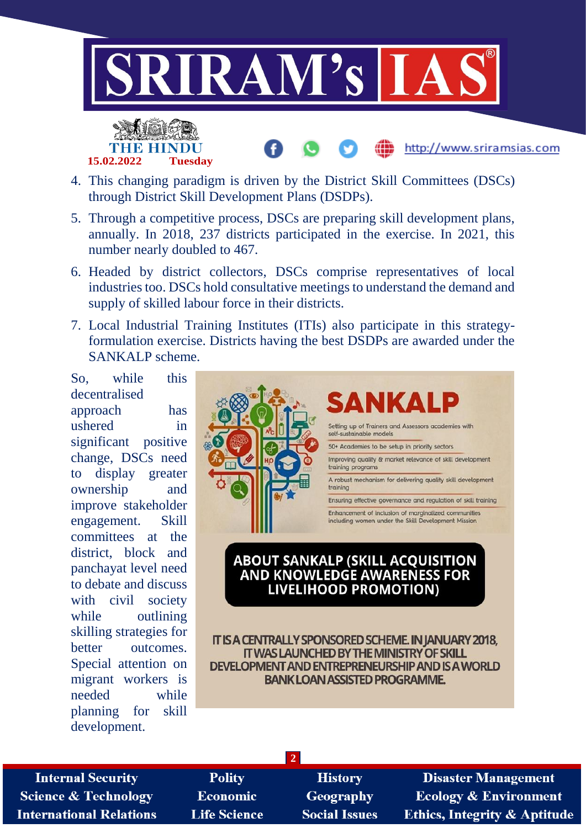





- 5. Through a competitive process, DSCs are preparing skill development plans, annually. In 2018, 237 districts participated in the exercise. In 2021, this number nearly doubled to 467.
- 6. Headed by district collectors, DSCs comprise representatives of local industries too. DSCs hold consultative meetings to understand the demand and supply of skilled labour force in their districts.
- 7. Local Industrial Training Institutes (ITIs) also participate in this strategyformulation exercise. Districts having the best DSDPs are awarded under the SANKALP scheme.

So, while this decentralised approach has ushered in significant positive change, DSCs need to display greater ownership and improve stakeholder engagement. Skill committees at the district, block and panchayat level need to debate and discuss with civil society while outlining skilling strategies for better outcomes. Special attention on migrant workers is needed while planning for skill development.



#### **ABOUT SANKALP (SKILL ACQUISITION AND KNOWLEDGE AWARENESS FOR LIVELIHOOD PROMOTION)**

IT IS A CENTRALLY SPONSORED SCHEME. IN JANUARY 2018, IT WAS LAUNCHED BY THE MINISTRY OF SKILL DEVELOPMENT AND ENTREPRENEURSHIP AND IS A WORLD **BANK LOAN ASSISTED PROGRAMME.** 

**Internal Security Science & Technology International Relations** 

**Polity Economic Life Science** 

**History** Geography **Social Issues** 

**2**

**Disaster Management Ecology & Environment Ethics, Integrity & Aptitude** 

http://www.sriramsias.com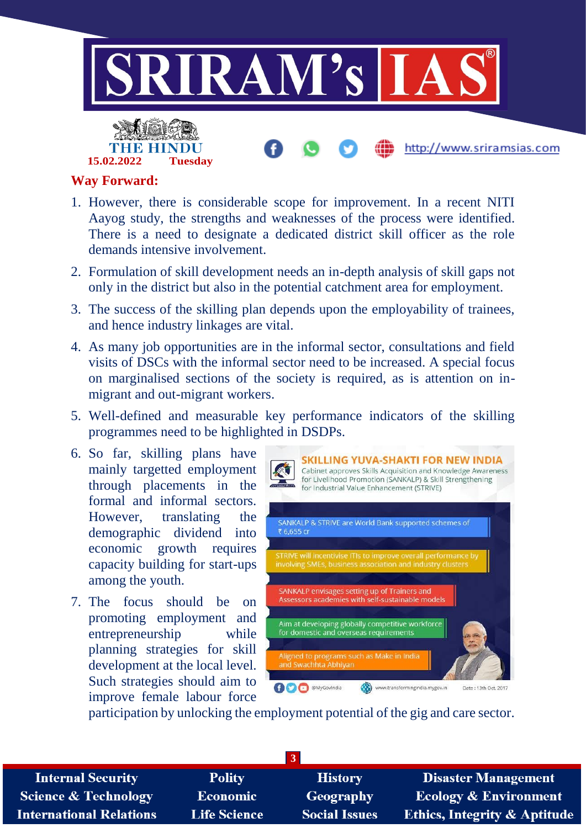

#### **Way Forward:**

**15.02.2022 Tuesday**

- 1. However, there is considerable scope for improvement. In a recent NITI Aayog study, the strengths and weaknesses of the process were identified. There is a need to designate a dedicated district skill officer as the role demands intensive involvement.
- 2. Formulation of skill development needs an in-depth analysis of skill gaps not only in the district but also in the potential catchment area for employment.
- 3. The success of the skilling plan depends upon the employability of trainees, and hence industry linkages are vital.
- 4. As many job opportunities are in the informal sector, consultations and field visits of DSCs with the informal sector need to be increased. A special focus on marginalised sections of the society is required, as is attention on inmigrant and out-migrant workers.
- 5. Well-defined and measurable key performance indicators of the skilling programmes need to be highlighted in DSDPs.
- 6. So far, skilling plans have mainly targetted employment through placements in the formal and informal sectors. However, translating the demographic dividend into economic growth requires capacity building for start-ups among the youth.
- 7. The focus should be on promoting employment and entrepreneurship while planning strategies for skill development at the local level. Such strategies should aim to improve female labour force



participation by unlocking the employment potential of the gig and care sector.

| <b>Internal Security</b>        | <b>Polity</b>       | <b>History</b>       | <b>Disaster Management</b>              |
|---------------------------------|---------------------|----------------------|-----------------------------------------|
| <b>Science &amp; Technology</b> | <b>Economic</b>     | Geography            | <b>Ecology &amp; Environment</b>        |
| <b>International Relations</b>  | <b>Life Science</b> | <b>Social Issues</b> | <b>Ethics, Integrity &amp; Aptitude</b> |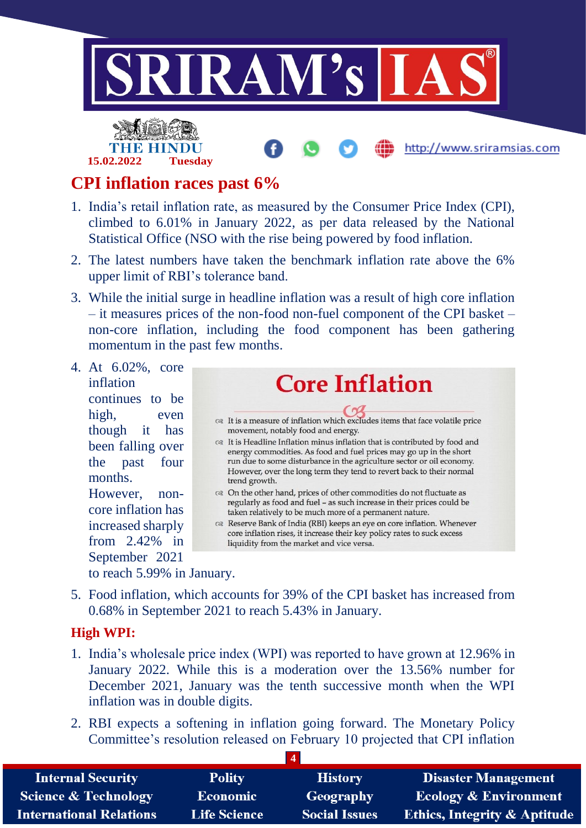

### **CPI inflation races past 6%**

- 1. India's retail inflation rate, as measured by the Consumer Price Index (CPI), climbed to 6.01% in January 2022, as per data released by the National Statistical Office (NSO with the rise being powered by food inflation.
- 2. The latest numbers have taken the benchmark inflation rate above the 6% upper limit of RBI's tolerance band.
- 3. While the initial surge in headline inflation was a result of high core inflation – it measures prices of the non-food non-fuel component of the CPI basket – non-core inflation, including the food component has been gathering momentum in the past few months.
- 4. At 6.02%, core inflation continues to be high, even though it has been falling over the past four months. However, noncore inflation has

increased sharply from 2.42% in September 2021 to reach 5.99% in January.

- **Core Inflation** <sup>Q2</sup> It is a measure of inflation which excludes items that face volatile price movement, notably food and energy. call t is Headline Inflation minus inflation that is contributed by food and energy commodities. As food and fuel prices may go up in the short run due to some disturbance in the agriculture sector or oil economy. However, over the long term they tend to revert back to their normal trend growth. ca On the other hand, prices of other commodities do not fluctuate as regularly as food and fuel - as such increase in their prices could be taken relatively to be much more of a permanent nature. Reserve Bank of India (RBI) keeps an eye on core inflation. Whenever core inflation rises, it increase their key policy rates to suck excess liquidity from the market and vice versa.
- 5. Food inflation, which accounts for 39% of the CPI basket has increased from 0.68% in September 2021 to reach 5.43% in January.

#### **High WPI:**

- 1. India's wholesale price index (WPI) was reported to have grown at 12.96% in January 2022. While this is a moderation over the 13.56% number for December 2021, January was the tenth successive month when the WPI inflation was in double digits.
- 2. RBI expects a softening in inflation going forward. The Monetary Policy Committee's resolution released on February 10 projected that CPI inflation

| <b>Internal Security</b>       | <b>Polity</b>       | <b>History</b>       | <b>Disaster Management</b>              |
|--------------------------------|---------------------|----------------------|-----------------------------------------|
| Science & Technology           | Economic            | Geography            | <b>Ecology &amp; Environment</b>        |
| <b>International Relations</b> | <b>Life Science</b> | <b>Social Issues</b> | <b>Ethics, Integrity &amp; Aptitude</b> |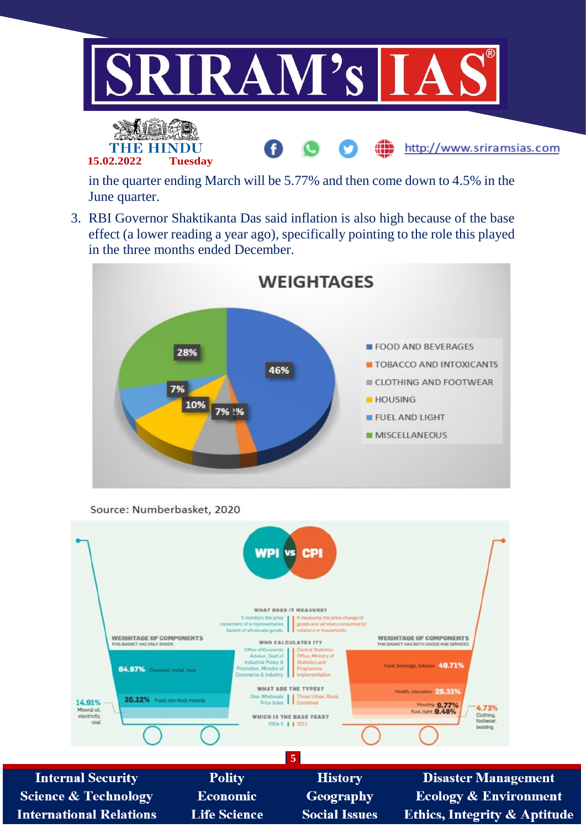

in the quarter ending March will be 5.77% and then come down to 4.5% in the June quarter.

3. RBI Governor Shaktikanta Das said inflation is also high because of the base effect (a lower reading a year ago), specifically pointing to the role this played in the three months ended December.



Source: Numberbasket, 2020